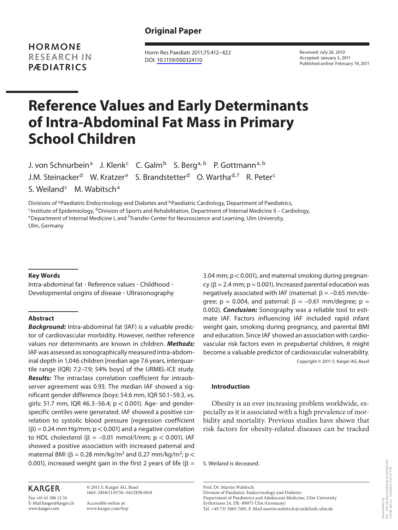**HORMONE RESEARCH IN PÆDIATRICS**

 Horm Res Paediatr 2011;75:412–422 DOI: [10.1159/000324110](http://dx.doi.org/10.1159%2F000324110)

 Received: July 26, 2010 Accepted: January 5, 2011 Published online: February 19, 2011

# **Reference Values and Early Determinants of Intra-Abdominal Fat Mass in Primary School Children**

J. von Schnurbein<sup>a</sup> J. Klenk<sup>c</sup> C. Galm<sup>b</sup> S. Berg<sup>a, b</sup> P. Gottmann<sup>a, b</sup> J.M. Steinacker<sup>d</sup> W. Kratzer<sup>e</sup> S. Brandstetter<sup>d</sup> O. Wartha<sup>d, f</sup> R. Peter<sup>c</sup> S. Weiland<sup>c</sup> M. Wabitsch<sup>a</sup>

Divisions of <sup>a</sup>Paediatric Endocrinology and Diabetes and <sup>b</sup>Paediatric Cardiology, Department of Paediatrics,<br><sup>c</sup>Institute of Epidemiology, <sup>d</sup>Division of Sports and Rehabilitation, Department of Internal Medicine II – Ca eDepartment of Internal Medicine I, and <sup>f</sup>Transfer Center for Neuroscience and Learning, Ulm University, Ulm, Germany

#### **Key Words**

 Intra-abdominal fat - Reference values - Childhood -Developmental origins of disease - Ultrasonography

# **Abstract**

*Background:* Intra-abdominal fat (IAF) is a valuable predictor of cardiovascular morbidity. However, neither reference values nor determinants are known in children. *Methods:* IAF was assessed as sonographically measured intra-abdominal depth in 1,046 children [median age 7.6 years, interquartile range (IQR) 7.2–7.9; 54% boys] of the URMEL-ICE study. *Results:* The intraclass correlation coefficient for intraobserver agreement was 0.93. The median IAF showed a significant gender difference (boys: 54.6 mm, IQR 50.1–59.3, vs. girls: 51.7 mm, IQR 46.3-56.4;  $p < 0.001$ ). Age- and genderspecific centiles were generated. IAF showed a positive correlation to systolic blood pressure [regression coefficient  $(\beta) = 0.24$  mm Hg/mm;  $p < 0.001$ ] and a negative correlation to HDL cholesterol  $(\beta = -0.01 \text{ mmol/l/mm}; p < 0.001)$ . IAF showed a positive association with increased paternal and maternal BMI ( $\beta$  = 0.28 mm/kg/m<sup>2</sup> and 0.27 mm/kg/m<sup>2</sup>; p < 0.001), increased weight gain in the first 2 years of life ( $\beta =$ 

# **KARGER**

Fax +41 61 306 12 34 E-Mail karger@karger.ch www.karger.com

 © 2011 S. Karger AG, Basel 1663–2818/11/0756–0412\$38.00/0 Accessible online at:

www.karger.com/hrp

3.04 mm;  $p < 0.001$ ), and maternal smoking during pregnancy ( $\beta$  = 2.4 mm;  $p$  = 0.001). Increased parental education was negatively associated with IAF (maternal:  $\beta = -0.65$  mm/degree;  $p = 0.004$ , and paternal:  $\beta = -0.61$  mm/degree;  $p =$ 0.002). *Conclusion:* Sonography was a reliable tool to estimate IAF. Factors influencing IAF included rapid infant weight gain, smoking during pregnancy, and parental BMI and education. Since IAF showed an association with cardiovascular risk factors even in prepubertal children, it might become a valuable predictor of cardiovascular vulnerability. Copyright © 2011 S. Karger AG, Basel

#### **Introduction**

 Obesity is an ever increasing problem worldwide, especially as it is associated with a high prevalence of morbidity and mortality. Previous studies have shown that risk factors for obesity-related diseases can be tracked

S. Weiland is deceased.

 Prof. Dr. Martin Wabitsch Division of Paediatric Endocrinology and Diabetes Department of Paediatrics and Adolescent Medicine, Ulm University Eythstrasse 24, DE–89075 Ulm (Germany) Tel. +49 731 5005 7401, E-Mail martin.wabitsch @ uniklinik-ulm.de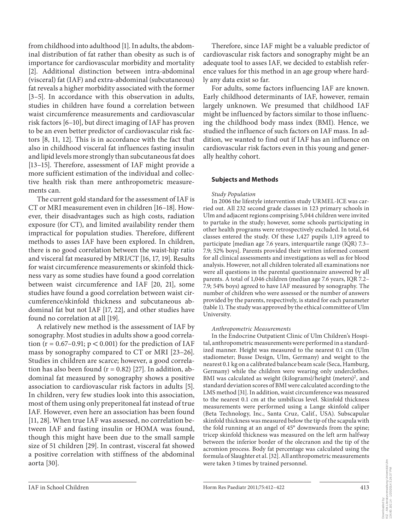from childhood into adulthood [1]. In adults, the abdominal distribution of fat rather than obesity as such is of importance for cardiovascular morbidity and mortality [2]. Additional distinction between intra-abdominal (visceral) fat (IAF) and extra-abdominal (subcutaneous) fat reveals a higher morbidity associated with the former [3–5]. In accordance with this observation in adults, studies in children have found a correlation between waist circumference measurements and cardiovascular risk factors [6–10], but direct imaging of IAF has proven to be an even better predictor of cardiovascular risk factors [8, 11, 12]. This is in accordance with the fact that also in childhood visceral fat influences fasting insulin and lipid levels more strongly than subcutaneous fat does [13–15]. Therefore, assessment of IAF might provide a more sufficient estimation of the individual and collective health risk than mere anthropometric measurements can.

 The current gold standard for the assessment of IAF is CT or MRI measurement even in children [16–18] . However, their disadvantages such as high costs, radiation exposure (for CT), and limited availability render them impractical for population studies. Therefore, different methods to asses IAF have been explored. In children, there is no good correlation between the waist-hip ratio and visceral fat measured by MRI/CT [16, 17, 19]. Results for waist circumference measurements or skinfold thickness vary as some studies have found a good correlation between waist circumference and IAF [20, 21], some studies have found a good correlation between waist circumference/skinfold thickness and subcutaneous abdominal fat but not IAF [17, 22], and other studies have found no correlation at all [19].

 A relatively new method is the assessment of IAF by sonography. Most studies in adults show a good correlation ( $r = 0.67-0.91$ ;  $p < 0.001$ ) for the prediction of IAF mass by sonography compared to CT or MRI [23–26] . Studies in children are scarce; however, a good correlation has also been found  $(r = 0.82)$  [27]. In addition, abdominal fat measured by sonography shows a positive association to cardiovascular risk factors in adults [5]. In children, very few studies look into this association, most of them using only preperitoneal fat instead of true IAF. However, even here an association has been found [11, 28]. When true IAF was assessed, no correlation between IAF and fasting insulin or HOMA was found, though this might have been due to the small sample size of 51 children [29]. In contrast, visceral fat showed a positive correlation with stiffness of the abdominal aorta [30].

 Therefore, since IAF might be a valuable predictor of cardiovascular risk factors and sonography might be an adequate tool to asses IAF, we decided to establish reference values for this method in an age group where hardly any data exist so far.

 For adults, some factors influencing IAF are known. Early childhood determinants of IAF, however, remain largely unknown. We presumed that childhood IAF might be influenced by factors similar to those influencing the childhood body mass index (BMI). Hence, we studied the influence of such factors on IAF mass. In addition, we wanted to find out if IAF has an influence on cardiovascular risk factors even in this young and generally healthy cohort.

## **Subjects and Methods**

## *Study Population*

 In 2006 the lifestyle intervention study URMEL-ICE was carried out. All 232 second grade classes in 123 primary schools in Ulm and adjacent regions comprising 5,044 children were invited to partake in the study; however, some schools participating in other health programs were retrospectively excluded. In total, 64 classes entered the study. Of these 1,427 pupils 1,119 agreed to participate [median age 7.6 years, interquartile range (IQR) 7.3– 7.9; 52% boys]. Parents provided their written informed consent for all clinical assessments and investigations as well as for blood analysis. However, not all children tolerated all examinations nor were all questions in the parental questionnaire answered by all parents. A total of 1,046 children (median age 7.6 years, IQR 7.2-7.9; 54% boys) agreed to have IAF measured by sonography. The number of children who were assessed or the number of answers provided by the parents, respectively, is stated for each parameter (table 1). The study was approved by the ethical committee of Ulm University.

## *Anthropometric Measurements*

 In the Endocrine Outpatient Clinic of Ulm Children's Hospital, anthropometric measurements were performed in a standardized manner. Height was measured to the nearest 0.1 cm (Ulm stadiometer; Busse Design, Ulm, Germany) and weight to the nearest 0.1 kg on a calibrated balance beam scale (Seca, Hamburg, Germany) while the children were wearing only underclothes. BMI was calculated as weight (kilograms)/height (meters)<sup>2</sup>, and standard deviation scores of BMI were calculated according to the LMS method [31]. In addition, waist circumference was measured to the nearest 0.1 cm at the umbilicus level. Skinfold thickness measurements were performed using a Lange skinfold caliper (Beta Technology, Inc., Santa Cruz, Calif., USA). Subscapular skinfold thickness was measured below the tip of the scapula with the fold running at an angel of 45° downwards from the spine; tricep skinfold thickness was measured on the left arm halfway between the inferior border of the olecranon and the tip of the acromion process. Body fat percentage was calculated using the formula of Slaughter et al. [32] . All anthropometric measurements were taken 3 times by trained personnel.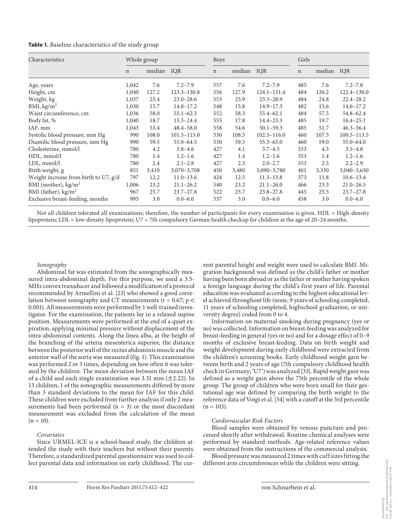| <b>Table 1.</b> Baseline characteristics of the study group |  |  |  |  |
|-------------------------------------------------------------|--|--|--|--|
|-------------------------------------------------------------|--|--|--|--|

| Characteristics                       | Whole group |        |                 | <b>Boys</b> |               |                 | Girls       |            |                 |  |  |  |
|---------------------------------------|-------------|--------|-----------------|-------------|---------------|-----------------|-------------|------------|-----------------|--|--|--|
|                                       | $\mathbf n$ | median | IQR             | $\mathbf n$ | median<br>IQR |                 | $\mathbf n$ | median IQR |                 |  |  |  |
| Age, years                            | 1,042       | 7.6    | $7.2 - 7.9$     | 557         | 7.6           | $7.2 - 7.9$     | 485         | 7.6        | $7.2 - 7.8$     |  |  |  |
| Height, cm                            | 1,040       | 127.2  | $123.3 - 130.8$ | 556         | 127.9         | 124.1-131.4     | 484         | 126.2      | 122.4-130.0     |  |  |  |
| Weight, kg                            | 1,037       | 25.4   | $23.0 - 28.6$   | 553         | 25.9          | $23.5 - 28.9$   | 484         | 24.8       | $22.4 - 28.2$   |  |  |  |
| BMI, kg/m <sup>2</sup>                | 1,030       | 15.7   | $14.8 - 17.2$   | 548         | 15.8          | $14.9 - 17.3$   | 482         | 15.6       | $14.6 - 17.2$   |  |  |  |
| Waist circumference, cm               | 1,036       | 58.0   | $55.1 - 62.3$   | 552         | 58.3          | $55.4 - 62.1$   | 484         | 57.5       | $54.8 - 62.4$   |  |  |  |
| Body fat, %                           | 1,040       | 18.7   | $15.3 - 24.4$   | 555         | 17.8          | $14.4 - 23.3$   | 485         | 19.7       | $16.4 - 25.1$   |  |  |  |
| IAF, mm                               | 1,043       | 53.4   | $48.4 - 58.0$   | 558         | 54.6          | $50.1 - 59.3$   | 485         | 51.7       | $46.3 - 56.4$   |  |  |  |
| Systolic blood pressure, mm Hg        | 990         | 108.0  | $101.5 - 115.0$ | 530         | 108.5         | $102.5 - 116.0$ | 460         | 107.5      | $100.5 - 113.5$ |  |  |  |
| Diastolic blood pressure, mm Hg       | 990         | 59.5   | $55.0 - 64.5$   | 530         | 59.5          | $55.3 - 65.0$   | 460         | 59.0       | $55.0 - 64.0$   |  |  |  |
| Cholesterine, mmol/l                  | 780         | 4.2    | $3.8 - 4.6$     | 427         | 4.1           | $3.7 - 4.5$     | 353         | 4.3        | $3.5 - 4.8$     |  |  |  |
| HDL, mmol/l                           | 780         | 1.4    | $1.2 - 1.6$     | 427         | 1.4           | $1.2 - 1.6$     | 353         | 1.4        | $1.2 - 1.6$     |  |  |  |
| LDL, mmol/l                           | 780         | 2.4    | $2.1 - 2.8$     | 427         | 2.3           | $2.0 - 2.7$     | 353         | 2.5        | $2.2 - 2.9$     |  |  |  |
| Birth weight, g                       | 851         | 3,410  | $3,070 - 3,708$ | 450         | 3,480         | $3,090 - 3,780$ | 401         | 3,330      | $3,040 - 3,630$ |  |  |  |
| Weight increase from birth to U7, g/d | 797         | 12.2   | $11.0 - 13.6$   | 424         | 12.5          | $11.3 - 13.8$   | 373         | 11.8       | $10.6 - 13.4$   |  |  |  |
| BMI (mother), $\text{kg/m}^2$         | 1,006       | 23.2   | $21.1 - 26.2$   | 540         | 23.2          | $21.1 - 26.0$   | 466         | 23.3       | $21.0 - 26.5$   |  |  |  |
| BMI (father), $\text{kg/m}^2$         | 967         | 25.7   | $23.7 - 27.8$   | 522         | 25.7          | $23.8 - 27.8$   | 445         | 25.5       | $23.7 - 27.8$   |  |  |  |
| Exclusive breast-feeding, months      | 995         | 3.0    | $0.0 - 6.0$     | 537         | 3.0           | $0.0 - 6.0$     | 458         | 3.0        | $0.0 - 6.0$     |  |  |  |

Not all children tolerated all examinations; therefore, the number of participants for every examination is given. HDL = High-density lipoprotein; LDL = low-density lipoprotein; U7 = 7th compulsory German health checkup for children at the age of 20–24 months**.**

#### *Sonography*

 Abdominal fat was estimated from the sonographically measured intra-abdominal depth. For this purpose, we used a 3.5- MHz convex transducer and followed a modification of a protocol recommended by Armellini et al. [23] who showed a good correlation between sonography and CT measurements ( $r = 0.67$ ; p < 0.001). All measurements were performed by 1 well-trained investigator. For the examination, the patients lay in a relaxed supine position. Measurements were performed at the end of a quiet expiration, applying minimal pressure without displacement of the intra-abdominal contents. Along the linea alba, at the height of the branching of the arteria mesenterica superior, the distance between the posterior wall of the rectus abdominis muscle and the anterior wall of the aorta was measured (fig. 1). This examination was performed 2 or 3 times, depending on how often it was tolerated by the children. The mean deviation between the mean IAF of a child and each single examination was  $3.31$  mm ( $\pm$ 2.22). In 13 children, 1 of the sonographic measurements differed by more than 3 standard deviations to the mean for IAF for this child. These children were excluded from further analysis if only 2 measurements had been performed  $(n = 3)$  or the most discordant measurement was excluded from the calculation of the mean  $(n = 10)$ .

#### *Covariates*

 Since URMEL-ICE is a school-based study, the children attended the study with their teachers but without their parents. Therefore, a standardized parental questionnaire was used to collect parental data and information on early childhood. The current parental height and weight were used to calculate BMI. Migration background was defined as the child's father or mother having been born abroad or as the father or mother having spoken a foreign language during the child's first years of life. Parental education was evaluated according to the highest educational level achieved throughout life (none, 9 years of schooling completed, 11 years of schooling completed, highschool graduation, or university degree) coded from 0 to 4.

 Information on maternal smoking during pregnancy (yes or no) was collected. Information on breast-feeding was analyzed for breast-feeding in general (yes or no) and for a dosage effect of 0–9 months of exclusive breast-feeding. Data on birth weight and weight development during early childhood were extracted from the children's screening books. Early childhood weight gain between birth and 2 years of age (7th compulsory childhood health check in Germany; 'U7') was analyzed [33] . Rapid weight gain was defined as a weight gain above the 75th percentile of the whole group. The group of children who were born small for their gestational age was defined by comparing the birth weight to the reference data of Voigt et al. [34] with a cutoff at the 3rd percentile  $(n = 103)$ .

#### *Cardiovascular Risk Factors*

 Blood samples were obtained by venous puncture and processed shortly after withdrawal. Routine chemical analyses were performed by standard methods. Age-related reference values were obtained from the instructions of the commercial analysis.

 Blood pressure was measured 2 times with cuff sizes fitting the different arm circumferences while the children were sitting.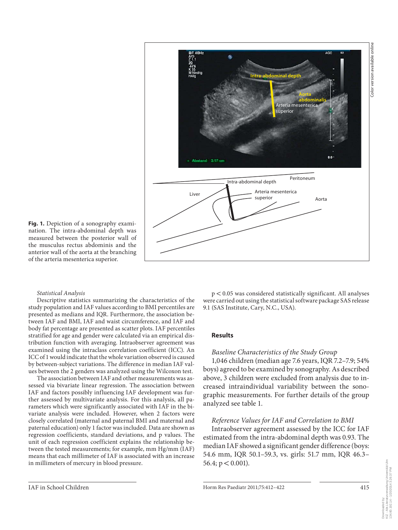

**Fig. 1.** Depiction of a sonography examination. The intra-abdominal depth was measured between the posterior wall of the musculus rectus abdominis and the anterior wall of the aorta at the branching of the arteria mesenterica superior.

#### *Statistical Analysis*

 Descriptive statistics summarizing the characteristics of the study population and IAF values according to BMI percentiles are presented as medians and IQR. Furthermore, the association between IAF and BMI, IAF and waist circumference, and IAF and body fat percentage are presented as scatter plots. IAF percentiles stratified for age and gender were calculated via an empirical distribution function with averaging. Intraobserver agreement was examined using the intraclass correlation coefficient (ICC). An ICC of 1 would indicate that the whole variation observed is caused by between-subject variations. The difference in median IAF values between the 2 genders was analyzed using the Wilcoxon test.

 The association between IAF and other measurements was assessed via bivariate linear regression. The association between IAF and factors possibly influencing IAF development was further assessed by multivariate analysis. For this analysis, all parameters which were significantly associated with IAF in the bivariate analysis were included. However, when 2 factors were closely correlated (maternal and paternal BMI and maternal and paternal education) only 1 factor was included. Data are shown as regression coefficients, standard deviations, and p values. The unit of each regression coefficient explains the relationship between the tested measurements; for example, mm Hg/mm (IAF) means that each millimeter of IAF is associated with an increase in millimeters of mercury in blood pressure.

 $p < 0.05$  was considered statistically significant. All analyses were carried out using the statistical software package SAS release 9.1 (SAS Institute, Cary, N.C., USA).

#### **Results**

#### *Baseline Characteristics of the Study Group*

 1,046 children (median age 7.6 years, IQR 7.2–7.9; 54% boys) agreed to be examined by sonography. As described above, 3 children were excluded from analysis due to increased intraindividual variability between the sonographic measurements. For further details of the group analyzed see table 1.

### *Reference Values for IAF and Correlation to BMI*

 Intraobserver agreement assessed by the ICC for IAF estimated from the intra-abdominal depth was 0.93. The median IAF showed a significant gender difference (boys: 54.6 mm, IQR 50.1–59.3, vs. girls: 51.7 mm, IQR 46.3– 56.4;  $p < 0.001$ ).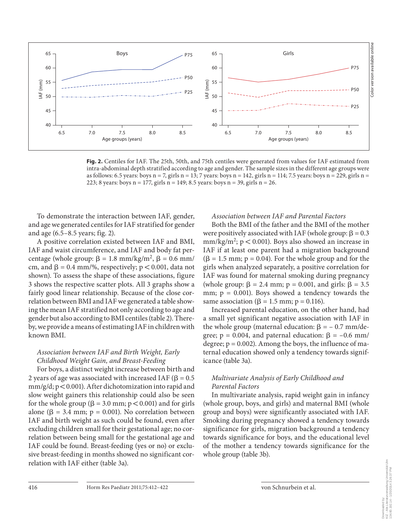

**Fig. 2.** Centiles for IAF. The 25th, 50th, and 75th centiles were generated from values for IAF estimated from intra-abdominal depth stratified according to age and gender. The sample sizes in the different age groups were as follows: 6.5 years: boys n = 7, girls n = 13; 7 years: boys n = 142, girls n = 114; 7.5 years: boys n = 229, girls n = 223; 8 years: boys  $n = 177$ , girls  $n = 149$ ; 8.5 years: boys  $n = 39$ , girls  $n = 26$ .

 To demonstrate the interaction between IAF, gender, and age we generated centiles for IAF stratified for gender and age  $(6.5-8.5 \text{ years}; \text{fig. 2}).$ 

 A positive correlation existed between IAF and BMI, IAF and waist circumference, and IAF and body fat percentage (whole group:  $\beta = 1.8$  mm/kg/m<sup>2</sup>,  $\beta = 0.6$  mm/ cm, and  $\beta = 0.4$  mm/%, respectively;  $p < 0.001$ , data not shown). To assess the shape of these associations, figure 3 shows the respective scatter plots. All 3 graphs show a fairly good linear relationship. Because of the close correlation between BMI and IAF we generated a table showing the mean IAF stratified not only according to age and gender but also according to BMI centiles (table 2). Thereby, we provide a means of estimating IAF in children with known BMI.

# *Association between IAF and Birth Weight, Early Childhood Weight Gain, and Breast-Feeding*

 For boys, a distinct weight increase between birth and 2 years of age was associated with increased IAF ( $\beta = 0.5$ )  $mm/g/d; p < 0.001$ ). After dichotomization into rapid and slow weight gainers this relationship could also be seen for the whole group ( $\beta = 3.0$  mm;  $p < 0.001$ ) and for girls alone ( $\beta$  = 3.4 mm;  $p$  = 0.001). No correlation between IAF and birth weight as such could be found, even after excluding children small for their gestational age; no correlation between being small for the gestational age and IAF could be found. Breast-feeding (yes or no) or exclusive breast-feeding in months showed no significant correlation with IAF either (table 3a).

## *Association between IAF and Parental Factors*

 Both the BMI of the father and the BMI of the mother were positively associated with IAF (whole group:  $\beta = 0.3$ )  $mm/kg/m<sup>2</sup>$ ;  $p < 0.001$ ). Boys also showed an increase in IAF if at least one parent had a migration background  $(\beta = 1.5 \text{ mm}; p = 0.04)$ . For the whole group and for the girls when analyzed separately, a positive correlation for IAF was found for maternal smoking during pregnancy (whole group:  $\beta = 2.4$  mm;  $p = 0.001$ , and girls:  $\beta = 3.5$ mm;  $p = 0.001$ ). Boys showed a tendency towards the same association ( $\beta = 1.5$  mm;  $p = 0.116$ ).

 Increased parental education, on the other hand, had a small yet significant negative association with IAF in the whole group (maternal education:  $\beta = -0.7$  mm/degree;  $p = 0.004$ , and paternal education:  $\beta = -0.6$  mm/ degree;  $p = 0.002$ ). Among the boys, the influence of maternal education showed only a tendency towards significance (table 3a).

## *Multivariate Analysis of Early Childhood and Parental Factors*

 In multivariate analysis, rapid weight gain in infancy (whole group, boys, and girls) and maternal BMI (whole group and boys) were significantly associated with IAF. Smoking during pregnancy showed a tendency towards significance for girls, migration background a tendency towards significance for boys, and the educational level of the mother a tendency towards significance for the whole group (table 3b).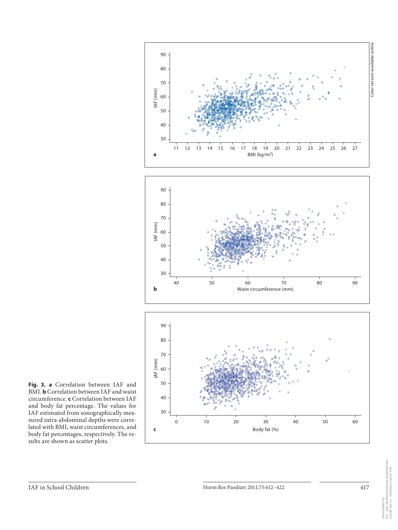

**Fig. 3. a** Correlation between IAF and BMI. **b** Correlation between IAF and waist circumference. **c** Correlation between IAF and body fat percentage. The values for IAF estimated from sonographically measured intra-abdominal depths were correlated with BMI, waist circumferences, and body fat percentages, respectively. The results are shown as scatter plots.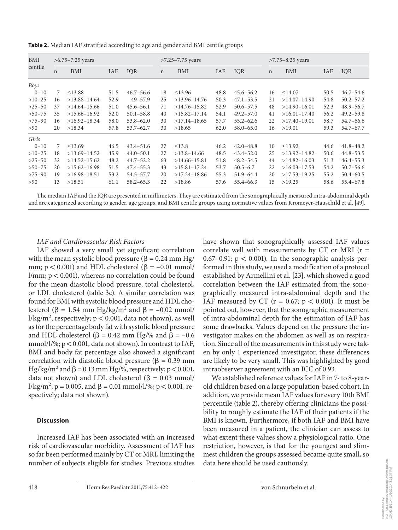| BMI      | $>6.75 - 7.25$ years |                          |      |               |             | $>7.25 - 7.75$ years |            |               | $>7.75 - 8.25$ years |                |            |               |  |  |
|----------|----------------------|--------------------------|------|---------------|-------------|----------------------|------------|---------------|----------------------|----------------|------------|---------------|--|--|
| centile  | $\mathsf{n}$         | <b>IAF</b><br>IQR<br>BMI |      |               | $\mathbf n$ | BMI                  | <b>IAF</b> | IOR           | $\mathbf n$          | BMI            | <b>IAF</b> | IQR           |  |  |
| Boys     |                      |                          |      |               |             |                      |            |               |                      |                |            |               |  |  |
| $0 - 10$ | 7                    | $\leq$ 13.88             | 51.5 | $46.7 - 56.6$ | 18          | $\leq$ 13.96         | 48.8       | $45.6 - 56.2$ | 16                   | $\leq$ 14.07   | 50.5       | $46.7 - 54.6$ |  |  |
| $>10-25$ | 16                   | $>13.88-14.64$           | 52.9 | $49 - 57.9$   | 25          | $>13.96 - 14.76$     | 50.3       | $47.1 - 53.5$ | 21                   | $>14.07-14.90$ | 54.8       | $50.2 - 57.2$ |  |  |
| $>25-50$ | 37                   | $>14.64 - 15.66$         | 51.0 | $45.6 - 56.1$ | 71          | $>14.76 - 15.82$     | 52.9       | $50.6 - 57.5$ | 48                   | $>14.90-16.01$ | 52.3       | $48.9 - 56.7$ |  |  |
| $>50-75$ | 35                   | $>15.66 - 16.92$         | 52.0 | $50.1 - 58.8$ | 40          | $>15.82 - 17.14$     | 54.1       | $49.2 - 57.0$ | 41                   | $>16.01-17.40$ | 56.2       | $49.2 - 59.8$ |  |  |
| $>75-90$ | 16                   | $>16.92 - 18.34$         | 58.0 | $53.8 - 62.0$ | 30          | $>17.14-18.65$       | 57.7       | $55.2 - 62.6$ | 22                   | $>17.40-19.01$ | 58.7       | $54.7 - 66.6$ |  |  |
| >90      | 20                   | >18.34                   | 57.8 | $53.7 - 62.7$ | 30          | >18.65               | 62.0       | $58.0 - 65.0$ | 16                   | >19.01         | 59.3       | $54.7 - 67.7$ |  |  |
| Girls    |                      |                          |      |               |             |                      |            |               |                      |                |            |               |  |  |
| $0 - 10$ | 7                    | $\leq$ 13.69             | 46.5 | $43.4 - 51.6$ | 27          | $\leq$ 13.8          | 46.2       | $42.0 - 48.8$ | 10                   | $\leq$ 13.92   | 44.6       | $41.8 - 48.2$ |  |  |
| $>10-25$ | 18                   | $>13.69-14.52$           | 45.9 | $44.0 - 50.1$ | 27          | $>13.8 - 14.66$      | 48.5       | $43.4 - 52.0$ | 25                   | $>13.92-14.82$ | 50.6       | $44.8 - 53.5$ |  |  |
| $>25-50$ | 32                   | $>14.52-15.62$           | 48.2 | $44.7 - 52.2$ | 63          | $>14.66 - 15.81$     | 51.8       | $48.2 - 54.5$ | 44                   | $>14.82-16.03$ | 51.3       | $46.4 - 55.3$ |  |  |
| $>50-75$ | 20                   | $>15.62-16.98$           | 51.5 | $47.4 - 55.3$ | 43          | $>15.81 - 17.24$     | 53.7       | $50.5 - 6.7$  | 22                   | $>16.03-17.53$ | 54.2       | $50.7 - 56.6$ |  |  |
| $>75-90$ | 19                   | $>16.98-18.51$           | 53.2 | $54.5 - 57.7$ | 20          | $>17.24 - 18.86$     | 55.3       | $51.9 - 64.4$ | 20                   | $>17.53-19.25$ | 55.2       | $50.4 - 60.5$ |  |  |
| >90      | 13                   | >18.51                   | 61.1 | $58.2 - 65.3$ | 22          | >18.86               | 57.6       | $55.4 - 66.3$ | 15                   | >19.25         | 58.6       | $55.4 - 67.8$ |  |  |

**Table 2.** Median IAF stratified according to age and gender and BMI centile groups

The median IAF and the IQR are presented in millimeters. They are estimated from the sonographically measured intra-abdominal depth and are categorized according to gender, age groups, and BMI centile groups using normative values from Kromeyer-Hauschild et al. [49].

## *IAF and Cardiovascular Risk Factors*

 IAF showed a very small yet significant correlation with the mean systolic blood pressure ( $\beta = 0.24$  mm Hg/ mm;  $p < 0.001$ ) and HDL cholesterol ( $\beta = -0.01$  mmol/ l/mm;  $p < 0.001$ ), whereas no correlation could be found for the mean diastolic blood pressure, total cholesterol, or LDL cholesterol (table 3c). A similar correlation was found for BMI with systolic blood pressure and HDL cholesterol ( $\beta = 1.54$  mm Hg/kg/m<sup>2</sup> and  $\beta = -0.02$  mmol/ l/kg/m<sup>2</sup>, respectively;  $p < 0.001$ , data not shown), as well as for the percentage body fat with systolic blood pressure and HDL cholesterol ( $\beta = 0.42$  mm Hg/% and  $\beta = -0.6$ ) mmol/l/%;  $p < 0.001$ , data not shown). In contrast to IAF, BMI and body fat percentage also showed a significant correlation with diastolic blood pressure ( $\beta = 0.39$  mm Hg/kg/m<sup>2</sup> and  $\beta$  = 0.13 mm Hg/%, respectively; p < 0.001, data not shown) and LDL cholesterol ( $\beta = 0.03$  mmol/ l/kg/m<sup>2</sup>; p = 0.005, and β = 0.01 mmol/l/%; p < 0.001, respectively; data not shown).

## **Discussion**

 Increased IAF has been associated with an increased risk of cardiovascular morbidity. Assessment of IAF has so far been performed mainly by CT or MRI, limiting the number of subjects eligible for studies. Previous studies have shown that sonographically assessed IAF values correlate well with measurements by  $CT$  or MRI ( $r =$ 0.67–0.91;  $p < 0.001$ ). In the sonographic analysis performed in this study, we used a modification of a protocol established by Armellini et al. [23], which showed a good correlation between the IAF estimated from the sonographically measured intra-abdominal depth and the IAF measured by CT ( $r = 0.67$ ;  $p < 0.001$ ). It must be pointed out, however, that the sonographic measurement of intra-abdominal depth for the estimation of IAF has some drawbacks. Values depend on the pressure the investigator makes on the abdomen as well as on respiration. Since all of the measurements in this study were taken by only 1 experienced investigator, these differences are likely to be very small. This was highlighted by good intraobserver agreement with an ICC of 0.93.

 We established reference values for IAF in 7- to 8-yearold children based on a large population-based cohort. In addition, we provide mean IAF values for every 10th BMI percentile (table 2), thereby offering clinicians the possibility to roughly estimate the IAF of their patients if the BMI is known. Furthermore, if both IAF and BMI have been measured in a patient, the clinician can assess to what extent these values show a physiological ratio. One restriction, however, is that for the youngest and slimmest children the groups assessed became quite small, so data here should be used cautiously.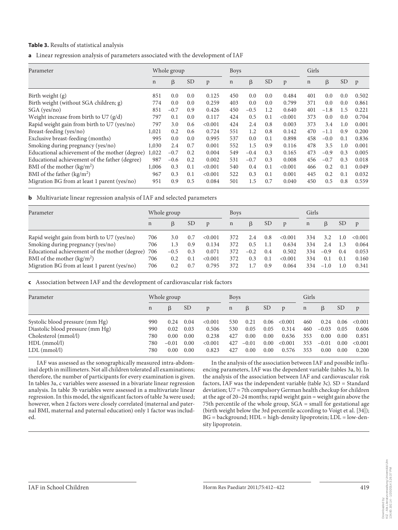#### **Table 3.** Results of statistical analysis

**a** Linear regression analysis of parameters associated with the development of IAF

| Parameter                                      |             | Whole group |           |         |             | <b>Boys</b>   |           |         | Girls       |        |           |              |
|------------------------------------------------|-------------|-------------|-----------|---------|-------------|---------------|-----------|---------|-------------|--------|-----------|--------------|
|                                                | $\mathbf n$ | β           | <b>SD</b> | p       | $\mathbf n$ | β             | <b>SD</b> | p       | $\mathbf n$ | β      | <b>SD</b> | $\mathbf{p}$ |
| Birth weight $(g)$                             | 851         | 0.0         | 0.0       | 0.125   | 450         | 0.0           | 0.0       | 0.484   | 401         | 0.0    | 0.0       | 0.502        |
| Birth weight (without SGA children; g)         | 774         | 0.0         | 0.0       | 0.259   | 403         | 0.0           | 0.0       | 0.799   | 371         | 0.0    | 0.0       | 0.861        |
| SGA (yes/no)                                   | 851         | $-0.7$      | 0.9       | 0.426   | 450         | $-0.5$        | 1.2       | 0.640   | 401         | $-1.8$ | 1.5       | 0.221        |
| Weight increase from birth to U7 $(g/d)$       | 797         | 0.1         | 0.0       | 0.117   | 424         | 0.5           | 0.1       | < 0.001 | 373         | 0.0    | 0.0       | 0.704        |
| Rapid weight gain from birth to U7 (yes/no)    | 797         | 3.0         | 0.6       | < 0.001 | 424         | 2.4           | 0.8       | 0.003   | 373         | 3.4    | 1.0       | 0.001        |
| Breast-feeding (yes/no)                        | 1,021       | 0.2         | 0.6       | 0.724   | 551         | 1.2           | 0.8       | 0.142   | 470         | $-1.1$ | 0.9       | 0.200        |
| Exclusive breast-feeding (months)              | 995         | 0.0         | 0.0       | 0.995   | 537         | $0.0^{\circ}$ | 0.1       | 0.898   | 458         | $-0.0$ | 0.1       | 0.836        |
| Smoking during pregnancy (yes/no)              | 1,030       | 2.4         | 0.7       | 0.001   | 552         | 1.5           | 0.9       | 0.116   | 478         | 3.5    | 1.0       | 0.001        |
| Educational achievement of the mother (degree) | 1,022       | $-0.7$      | 0.2       | 0.004   | 549         | $-0.4$        | 0.3       | 0.165   | 473         | $-0.9$ | 0.3       | 0.005        |
| Educational achievement of the father (degree) | 987         | $-0.6$      | 0.2       | 0.002   | 531         | $-0.7$        | 0.3       | 0.008   | 456         | $-0.7$ | 0.3       | 0.018        |
| BMI of the mother $(kg/m2)$                    | 1,006       | 0.3         | 0.1       | < 0.001 | 540         | 0.4           | 0.1       | < 0.001 | 466         | 0.2    | 0.1       | 0.049        |
| BMI of the father $(kg/m2)$                    | 967         | 0.3         | 0.1       | < 0.001 | 522         | 0.3           | 0.1       | 0.001   | 445         | 0.2    | 0.1       | 0.032        |
| Migration BG from at least 1 parent (yes/no)   | 951         | 0.9         | 0.5       | 0.084   | 501         | 1.5           | 0.7       | 0.040   | 450         | 0.5    | 0.8       | 0.559        |

**b** Multivariate linear regression analysis of IAF and selected parameters

| Parameter                                      | Whole group |        |               | <b>Boys</b>  |             |         | Girls           |              |             |        |                 |              |
|------------------------------------------------|-------------|--------|---------------|--------------|-------------|---------|-----------------|--------------|-------------|--------|-----------------|--------------|
|                                                | $\mathbf n$ | B      | <sub>SD</sub> | $\mathbf{D}$ | $\mathbf n$ | $\beta$ | SD <sub>1</sub> | $\mathbf{D}$ | $\mathbf n$ | B      | SD <sub>3</sub> | $\mathbf{p}$ |
| Rapid weight gain from birth to U7 (yes/no)    | 706         | 3.0    | 0.7           | < 0.001      | 372         | 2.4     | 0.8             | < 0.001      | 334         | 3.2    | 1.0             | <0.001       |
| Smoking during pregnancy (yes/no)              | 706         | 1.3    | 0.9           | 0.134        | 372         | 0.5     | 1.1             | 0.634        | 334         | 2.4    | 1.3             | 0.064        |
| Educational achievement of the mother (degree) | 706         | $-0.5$ | 0.3           | 0.071        | 372         | $-0.2$  | 0.4             | 0.502        | 334         | $-0.9$ | 0.4             | 0.053        |
| BMI of the mother $(kg/m2)$                    | 706         | 0.2    | 0.1           | < 0.001      | 372         | 0.3     | 0.1             | < 0.001      | 334         | 0.1    | 0.1             | 0.160        |
| Migration BG from at least 1 parent (yes/no)   | 706         | 0.2    | 0.7           | 0.795        | 372         |         | 0.9             | 0.064        | 334         | $-1.0$ | 1.0             | 0.341        |

 **c** Association between IAF and the development of cardiovascular risk factors

| Parameter                        |             | Whole group |               |         | <b>Boys</b> |         |               |                | Girls       |         |                 |         |  |
|----------------------------------|-------------|-------------|---------------|---------|-------------|---------|---------------|----------------|-------------|---------|-----------------|---------|--|
|                                  | $\mathbf n$ | B           | <sub>SD</sub> | D       | $\mathbf n$ | β       | <sub>SD</sub> | $\mathfrak{p}$ | $\mathbf n$ | ß       | SD <sub>1</sub> | p       |  |
| Systolic blood pressure (mm Hg)  | 990         | 0.24        | 0.04          | < 0.001 | 530         | 0.21    | 0.06          | <0.001         | 460         | 0.24    | 0.06            | < 0.001 |  |
| Diastolic blood pressure (mm Hg) | 990         | 0.02        | 0.03          | 0.506   | 530         | 0.05    | 0.05          | 0.314          | 460         | $-0.03$ | 0.05            | 0.606   |  |
| Cholesterol (mmol/l)             | 780         | 0.00        | 0.00          | 0.238   | 427         | 0.00    | 0.00          | 0.636          | 353         | 0.00    | 0.00            | 0.851   |  |
| $HDL$ (mmol/l)                   | 780         | $-0.01$     | 0.00          | < 0.001 | 427         | $-0.01$ | 0.00          | < 0.001        | 353         | $-0.01$ | 0.00            | < 0.001 |  |
| $LDL$ (mmol/l)                   | 780         | 0.00        | 0.00          | 0.823   | 427         | 0.00    | 0.00          | 0.576          | 353         | 0.00    | 0.00            | 0.200   |  |

IAF was assessed as the sonographically measured intra-abdominal depth in millimeters. Not all children tolerated all examinations; therefore, the number of participants for every examination is given. In tables 3a, c variables were assessed in a bivariate linear regression analysis. In table 3b variables were assessed in a multivariate linear regression. In this model, the significant factors of table 3a were used; however, when 2 factors were closely correlated (maternal and paternal BMI, maternal and paternal education) only 1 factor was included.

In the analysis of the association between IAF and possible influencing parameters, IAF was the dependent variable (tables 3a, b). In the analysis of the association between IAF and cardiovascular risk factors, IAF was the independent variable (table 3c). SD = Standard deviation; U7 = 7th compulsory German health checkup for children at the age of 20–24 months; rapid weight gain = weight gain above the 75th percentile of the whole group, SGA = small for gestational age (birth weight below the 3rd percentile according to Voigt et al. [34]); BG = background; HDL = high-density lipoprotein; LDL = low-density lipoprotein.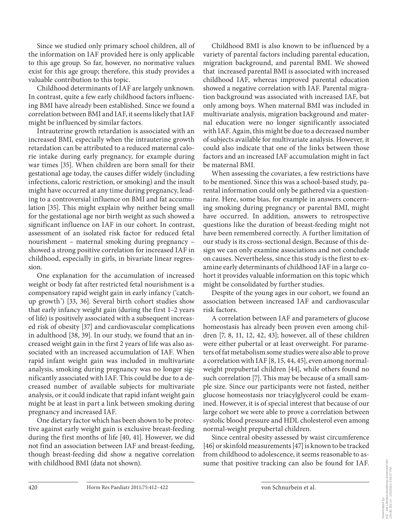Since we studied only primary school children, all of the information on IAF provided here is only applicable to this age group. So far, however, no normative values exist for this age group; therefore, this study provides a valuable contribution to this topic.

 Childhood determinants of IAF are largely unknown. In contrast, quite a few early childhood factors influencing BMI have already been established. Since we found a correlation between BMI and IAF, it seems likely that IAF might be influenced by similar factors.

 Intrauterine growth retardation is associated with an increased BMI, especially when the intrauterine growth retardation can be attributed to a reduced maternal calorie intake during early pregnancy, for example during war times [35]. When children are born small for their gestational age today, the causes differ widely (including infections, caloric restriction, or smoking) and the insult might have occurred at any time during pregnancy, leading to a controversial influence on BMI and fat accumulation [35]. This might explain why neither being small for the gestational age nor birth weight as such showed a significant influence on IAF in our cohort. In contrast, assessment of an isolated risk factor for reduced fetal nourishment – maternal smoking during pregnancy – showed a strong positive correlation for increased IAF in childhood, especially in girls, in bivariate linear regression.

 One explanation for the accumulation of increased weight or body fat after restricted fetal nourishment is a compensatory rapid weight gain in early infancy ('catchup growth') [33, 36]. Several birth cohort studies show that early infancy weight gain (during the first 1–2 years of life) is positively associated with a subsequent increased risk of obesity [37] and cardiovascular complications in adulthood [38, 39]. In our study, we found that an increased weight gain in the first 2 years of life was also associated with an increased accumulation of IAF. When rapid infant weight gain was included in multivariate analysis, smoking during pregnancy was no longer significantly associated with IAF. This could be due to a decreased number of available subjects for multivariate analysis, or it could indicate that rapid infant weight gain might be at least in part a link between smoking during pregnancy and increased IAF.

 One dietary factor which has been shown to be protective against early weight gain is exclusive breast-feeding during the first months of life [40, 41]. However, we did not find an association between IAF and breast-feeding, though breast-feeding did show a negative correlation with childhood BMI (data not shown).

 Childhood BMI is also known to be influenced by a variety of parental factors including parental education, migration background, and parental BMI. We showed that increased parental BMI is associated with increased childhood IAF, whereas improved parental education showed a negative correlation with IAF. Parental migration background was associated with increased IAF, but only among boys. When maternal BMI was included in multivariate analysis, migration background and maternal education were no longer significantly associated with IAF. Again, this might be due to a decreased number of subjects available for multivariate analysis. However, it could also indicate that one of the links between those factors and an increased IAF accumulation might in fact be maternal BMI.

 When assessing the covariates, a few restrictions have to be mentioned. Since this was a school-based study, parental information could only be gathered via a questionnaire. Here, some bias, for example in answers concerning smoking during pregnancy or parental BMI, might have occurred. In addition, answers to retrospective questions like the duration of breast-feeding might not have been remembered correctly. A further limitation of our study is its cross-sectional design. Because of this design we can only examine associations and not conclude on causes. Nevertheless, since this study is the first to examine early determinants of childhood IAF in a large cohort it provides valuable information on this topic which might be consolidated by further studies.

 Despite of the young ages in our cohort, we found an association between increased IAF and cardiovascular risk factors.

 A correlation between IAF and parameters of glucose homeostasis has already been proven even among children  $[7, 8, 11, 12, 42, 43]$ ; however, all of these children were either pubertal or at least overweight. For parameters of fat metabolism some studies were also able to prove a correlation with IAF [8, 15, 44, 45], even among normalweight prepubertal children [44], while others found no such correlation [7]. This may be because of a small sample size. Since our participants were not fasted, neither glucose homeostasis nor triacylglycerol could be examined. However, it is of special interest that because of our large cohort we were able to prove a correlation between systolic blood pressure and HDL cholesterol even among normal-weight prepubertal children.

 Since central obesity assessed by waist circumference [46] or skinfold measurements [47] is known to be tracked from childhood to adolescence, it seems reasonable to assume that positive tracking can also be found for IAF.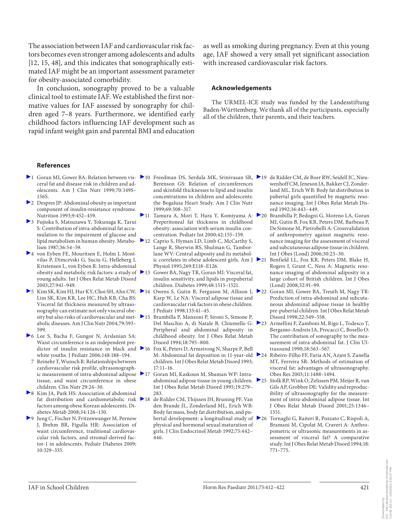The association between IAF and cardiovascular risk factors becomes even stronger among adolescents and adults [12, 15, 48], and this indicates that sonographically estimated IAF might be an important assessment parameter for obesity-associated comorbidity.

 In conclusion, sonography proved to be a valuable clinical tool to estimate IAF. We established the first normative values for IAF assessed by sonography for children aged 7–8 years. Furthermore, we identified early childhood factors influencing IAF development such as rapid infant weight gain and parental BMI and education

as well as smoking during pregnancy. Even at this young age, IAF showed a very small yet significant association with increased cardiovascular risk factors.

#### **Acknowledgements**

 The URMEL-ICE study was funded by the Landesstiftung Baden-Württemberg. We thank all of the participants, especially all of the children, their parents, and their teachers.

#### **References**

- 1 Goran MI, Gower BA: Relation between vis- 10 Freedman DS, Serdula MK, Srinivasan SR, 19 de Ridder CM, de Boer RW, Seidell JC, Nieuceral fat and disease risk in children and adolescents. Am J Clin Nutr 1999;70:149S– 156S.
- 2 Despres JP: Abdominal obesity as important component of insulin-resistance syndrome. Nutrition 1993;9:452–459.
- 3 Fujioka S, Matsuzawa Y, Tokunaga K, Tarui S: Contribution of intra-abdominal fat accumulation to the impairment of glucose and lipid metabolism in human obesity. Metabolism 1987;36:54–59.
- 4 von Eyben FE, Mouritsen E, Holm J, Montvilas P, Dimcevski G, Suciu G, Helleberg I, Kristensen L, von Eyben R: Intra-abdominal obesity and metabolic risk factors: a study of  $\geq 13$ young adults. Int J Obes Relat Metab Disord 2003;27:941–949.
- $\triangleright$  5 Kim SK, Kim HJ, Hur KY, Choi SH, Ahn CW,  $\triangleright$  14 Lim SK, Kim KR, Lee HC, Huh KB, Cha BS: Visceral fat thickness measured by ultrasonography can estimate not only visceral obeabolic diseases. Am J Clin Nutr 2004;79:593– 599.
- 6 Lee S, Bacha F, Gungor N, Arslanian SA: Waist circumference is an independent predictor of insulin resistance in black and 216 white youths. J Pediatr 2006;148:188–194.
- 7 Reinehr T, Wunsch R: Relationships between cardiovascular risk profile, ultrasonographic measurement of intra-abdominal adipose  $\geq 17$ tissue, and waist circumference in obese children. Clin Nutr 29:24–30.
- 8 Kim JA, Park HS: Association of abdominal fat distribution and cardiometabolic risk 218 factors among obese Korean adolescents. Diabetes Metab 2008;34:126–130.
- 9 Jung C, Fischer N, Fritzenwanger M, Pernow J, Brehm BR, Figulla HR: Association of waist circumference, traditional cardiovascular risk factors, and stromal-derived factor-1 in adolescents. Pediatr Diabetes 2009; 10:329–335.
- Berenson GS: Relation of circumferences and skinfold thicknesses to lipid and insulin concentrations in children and adolescents: the Bogalusa Heart Study. Am J Clin Nutr 1999;69:308–317.
- 11 Tamura A, Mori T, Hara Y, Komiyama A: 20 Preperitoneal fat thickness in childhood obesity: association with serum insulin concentration. Pediatr Int 2000;42:155–159.
- ▶ 12 Caprio S, Hyman LD, Limb C, McCarthy S, Lange R, Sherwin RS, Shulman G, Tamborlane WV: Central adiposity and its metabolic correlates in obese adolescent girls. Am J Physiol 1995;269:E118–E126.
- 13 Gower BA, Nagy TR, Goran MI: Visceral fat, insulin sensitivity, and lipids in prepubertal children. Diabetes 1999;48:1515–1521.
- Owens S, Gutin B, Ferguson M, Allison J, ▶ 22 Karp W, Le NA: Visceral adipose tissue and cardiovascular risk factors in obese children. J Pediatr 1998;133:41–45.
- sity but also risks of cardiovascular and met- 15 Brambilla P, Manzoni P, Sironi S, Simone P, Del Maschio A, di Natale B, Chiumello G: Peripheral and abdominal adiposity in childhood obesity. Int J Obes Relat Metab Disord 1994;18:795–800.
	- Fox K, Peters D, Armstrong N, Sharpe P, Bell M: Abdominal fat deposition in 11-year-old 24 children. Int J Obes Relat Metab Disord 1993; 17:11–16.
	- 17 Goran MI, Kaskoun M, Shuman WP: Intraabdominal adipose tissue in young children.  $\geq 25$ Int J Obes Relat Metab Disord 1995;19:279– 283.
	- 18 de Ridder CM, Thijssen JH, Bruning PF, Van den Brande JL, Zonderland ML, Erich WB: Body fat mass, body fat distribution, and pubertal development: a longitudinal study of  $\geq 26$ physical and hormonal sexual maturation of girls. J Clin Endocrinol Metab 1992;75:442– 446.
- wenhoff CM, Jeneson JA, Bakker CJ, Zonderland ML, Erich WB: Body fat distribution in pubertal girls quantified by magnetic resonance imaging. Int J Obes Relat Metab Disord 1992;16:443–449.
- Brambilla P, Bedogni G, Moreno LA, Goran MI, Gutin B, Fox KR, Peters DM, Barbeau P, De Simone M, Pietrobelli A: Crossvalidation of anthropometry against magnetic resonance imaging for the assessment of visceral and subcutaneous adipose tissue in children. Int J Obes (Lond) 2006;30:23–30.
- Benfield LL, Fox KR, Peters DM, Blake H, Rogers I, Grant C, Ness A: Magnetic resonance imaging of abdominal adiposity in a large cohort of British children. Int J Obes (Lond) 2008;32:91–99.
- Goran MI, Gower BA, Treuth M, Nagy TR: Prediction of intra-abdominal and subcutaneous abdominal adipose tissue in healthy pre-pubertal children. Int J Obes Relat Metab Disord 1998;22:549–558.
- 23 Armellini F, Zamboni M, Rigo L, Todesco T, Bergamo-Andreis IA, Procacci C, Bosello O: The contribution of sonography to the measurement of intra-abdominal fat. J Clin Ultrasound 1990;18:563–567.
	- 24 Ribeiro-Filho FF, Faria AN, Azjen S, Zanella MT, Ferreira SR: Methods of estimation of visceral fat: advantages of ultrasonography. Obes Res 2003;11:1488–1494.
	- 25 Stolk RP, Wink O, Zelissen PM, Meijer R, van Gils AP, Grobbee DE: Validity and reproducibility of ultrasonography for the measurement of intra-abdominal adipose tissue. Int J Obes Relat Metab Disord 2001;25:1346– 1351.
	- 26 Tornaghi G, Raiteri R, Pozzato C, Rispoli A, Bramani M, Cipolat M, Craveri A: Anthropometric or ultrasonic measurements in assessment of visceral fat? A comparative study. Int J Obes Relat Metab Disord 1994;18: 771–775.